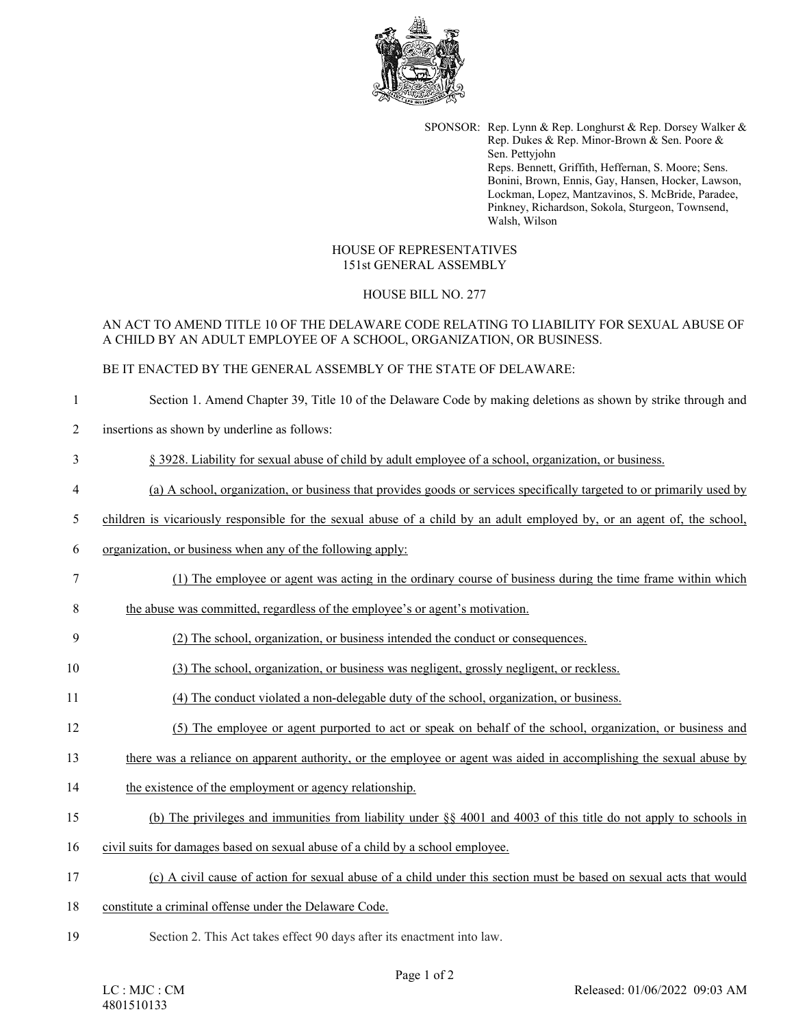

SPONSOR: Rep. Lynn & Rep. Longhurst & Rep. Dorsey Walker & Rep. Dukes & Rep. Minor-Brown & Sen. Poore & Sen. Pettyjohn Reps. Bennett, Griffith, Heffernan, S. Moore; Sens. Bonini, Brown, Ennis, Gay, Hansen, Hocker, Lawson, Lockman, Lopez, Mantzavinos, S. McBride, Paradee, Pinkney, Richardson, Sokola, Sturgeon, Townsend, Walsh, Wilson

#### HOUSE OF REPRESENTATIVES 151st GENERAL ASSEMBLY

## HOUSE BILL NO. 277

# AN ACT TO AMEND TITLE 10 OF THE DELAWARE CODE RELATING TO LIABILITY FOR SEXUAL ABUSE OF A CHILD BY AN ADULT EMPLOYEE OF A SCHOOL, ORGANIZATION, OR BUSINESS.

### BE IT ENACTED BY THE GENERAL ASSEMBLY OF THE STATE OF DELAWARE:

## 1 Section 1. Amend Chapter 39, Title 10 of the Delaware Code by making deletions as shown by strike through and

2 insertions as shown by underline as follows:

### 3 § 3928. Liability for sexual abuse of child by adult employee of a school, organization, or business.

### 4 (a) A school, organization, or business that provides goods or services specifically targeted to or primarily used by

- 5 children is vicariously responsible for the sexual abuse of a child by an adult employed by, or an agent of, the school,
- 6 organization, or business when any of the following apply:
- 7 (1) The employee or agent was acting in the ordinary course of business during the time frame within which
- 8 the abuse was committed, regardless of the employee's or agent's motivation.
- 9 (2) The school, organization, or business intended the conduct or consequences.
- 10 (3) The school, organization, or business was negligent, grossly negligent, or reckless.
- 11 (4) The conduct violated a non-delegable duty of the school, organization, or business.
- 12 (5) The employee or agent purported to act or speak on behalf of the school, organization, or business and
- 13 there was a reliance on apparent authority, or the employee or agent was aided in accomplishing the sexual abuse by
- 14 the existence of the employment or agency relationship.
- 15 (b) The privileges and immunities from liability under §§ 4001 and 4003 of this title do not apply to schools in
- 16 civil suits for damages based on sexual abuse of a child by a school employee.
- 17 (c) A civil cause of action for sexual abuse of a child under this section must be based on sexual acts that would
- 18 constitute a criminal offense under the Delaware Code.
- 19 Section 2. This Act takes effect 90 days after its enactment into law.